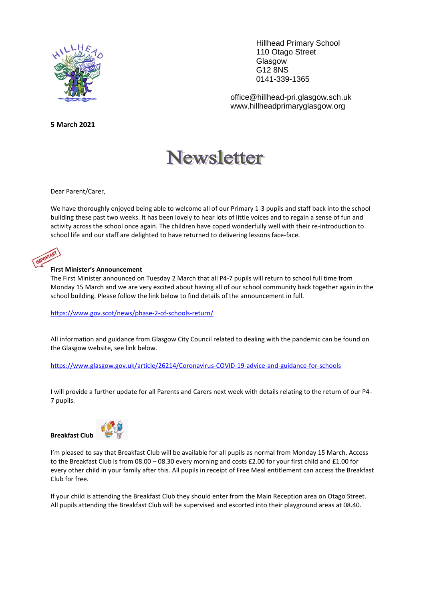

**5 March 2021**

Hillhead Primary School 110 Otago Street Glasgow G12 8NS 0141-339-1365

office@hillhead-pri.glasgow.sch.uk www.hillheadprimaryglasgow.org

# **Newsletter**

Dear Parent/Carer,

We have thoroughly enjoyed being able to welcome all of our Primary 1-3 pupils and staff back into the school building these past two weeks. It has been lovely to hear lots of little voices and to regain a sense of fun and activity across the school once again. The children have coped wonderfully well with their re-introduction to school life and our staff are delighted to have returned to delivering lessons face-face.

#### **First Minister's Announcement**

The First Minister announced on Tuesday 2 March that all P4-7 pupils will return to school full time from Monday 15 March and we are very excited about having all of our school community back together again in the school building. Please follow the link below to find details of the announcement in full.

<https://www.gov.scot/news/phase-2-of-schools-return/>

All information and guidance from Glasgow City Council related to dealing with the pandemic can be found on the Glasgow website, see link below.

<https://www.glasgow.gov.uk/article/26214/Coronavirus-COVID-19-advice-and-guidance-for-schools>

I will provide a further update for all Parents and Carers next week with details relating to the return of our P4- 7 pupils.





I'm pleased to say that Breakfast Club will be available for all pupils as normal from Monday 15 March. Access to the Breakfast Club is from 08.00 – 08.30 every morning and costs £2.00 for your first child and £1.00 for every other child in your family after this. All pupils in receipt of Free Meal entitlement can access the Breakfast Club for free.

If your child is attending the Breakfast Club they should enter from the Main Reception area on Otago Street. All pupils attending the Breakfast Club will be supervised and escorted into their playground areas at 08.40.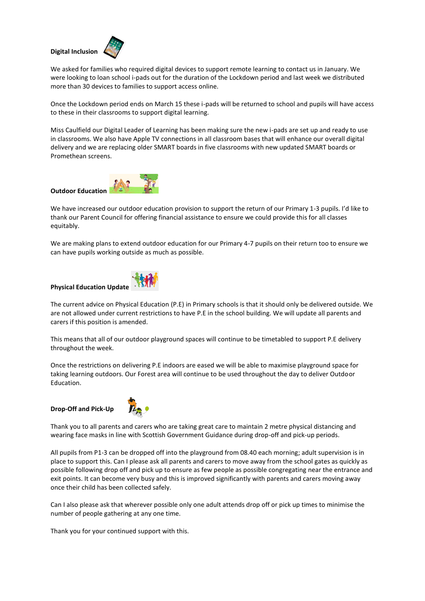### **Digital Inclusion**



We asked for families who required digital devices to support remote learning to contact us in January. We were looking to loan school i-pads out for the duration of the Lockdown period and last week we distributed more than 30 devices to families to support access online.

Once the Lockdown period ends on March 15 these i-pads will be returned to school and pupils will have access to these in their classrooms to support digital learning.

Miss Caulfield our Digital Leader of Learning has been making sure the new i-pads are set up and ready to use in classrooms. We also have Apple TV connections in all classroom bases that will enhance our overall digital delivery and we are replacing older SMART boards in five classrooms with new updated SMART boards or Promethean screens.



We have increased our outdoor education provision to support the return of our Primary 1-3 pupils. I'd like to thank our Parent Council for offering financial assistance to ensure we could provide this for all classes equitably.

We are making plans to extend outdoor education for our Primary 4-7 pupils on their return too to ensure we can have pupils working outside as much as possible.



The current advice on Physical Education (P.E) in Primary schools is that it should only be delivered outside. We are not allowed under current restrictions to have P.E in the school building. We will update all parents and carers if this position is amended.

This means that all of our outdoor playground spaces will continue to be timetabled to support P.E delivery throughout the week.

Once the restrictions on delivering P.E indoors are eased we will be able to maximise playground space for taking learning outdoors. Our Forest area will continue to be used throughout the day to deliver Outdoor Education.

**Drop-Off and Pick-Up** 



Thank you to all parents and carers who are taking great care to maintain 2 metre physical distancing and wearing face masks in line with Scottish Government Guidance during drop-off and pick-up periods.

All pupils from P1-3 can be dropped off into the playground from 08.40 each morning; adult supervision is in place to support this. Can I please ask all parents and carers to move away from the school gates as quickly as possible following drop off and pick up to ensure as few people as possible congregating near the entrance and exit points. It can become very busy and this is improved significantly with parents and carers moving away once their child has been collected safely.

Can I also please ask that wherever possible only one adult attends drop off or pick up times to minimise the number of people gathering at any one time.

Thank you for your continued support with this.